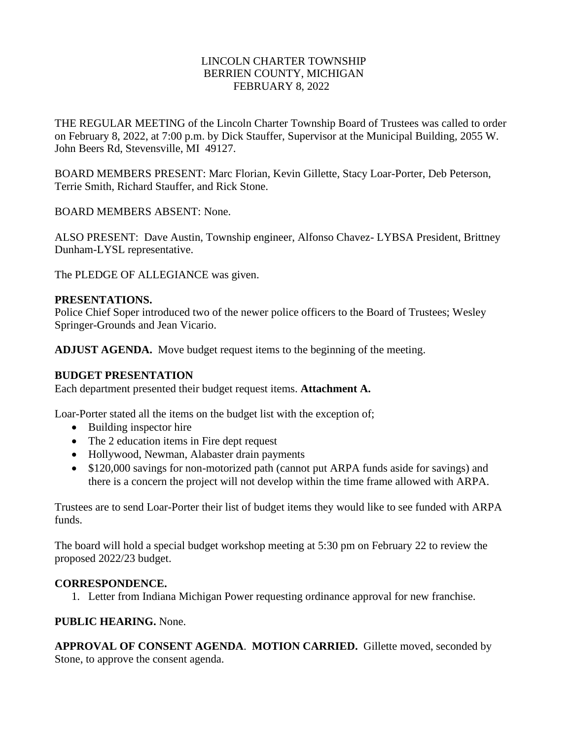# LINCOLN CHARTER TOWNSHIP BERRIEN COUNTY, MICHIGAN FEBRUARY 8, 2022

THE REGULAR MEETING of the Lincoln Charter Township Board of Trustees was called to order on February 8, 2022, at 7:00 p.m. by Dick Stauffer, Supervisor at the Municipal Building, 2055 W. John Beers Rd, Stevensville, MI 49127.

BOARD MEMBERS PRESENT: Marc Florian, Kevin Gillette, Stacy Loar-Porter, Deb Peterson, Terrie Smith, Richard Stauffer, and Rick Stone.

BOARD MEMBERS ABSENT: None.

ALSO PRESENT: Dave Austin, Township engineer, Alfonso Chavez- LYBSA President, Brittney Dunham-LYSL representative.

The PLEDGE OF ALLEGIANCE was given.

#### **PRESENTATIONS.**

Police Chief Soper introduced two of the newer police officers to the Board of Trustees; Wesley Springer-Grounds and Jean Vicario.

**ADJUST AGENDA.** Move budget request items to the beginning of the meeting.

#### **BUDGET PRESENTATION**

Each department presented their budget request items. **Attachment A.**

Loar-Porter stated all the items on the budget list with the exception of;

- Building inspector hire
- The 2 education items in Fire dept request
- Hollywood, Newman, Alabaster drain payments
- \$120,000 savings for non-motorized path (cannot put ARPA funds aside for savings) and there is a concern the project will not develop within the time frame allowed with ARPA.

Trustees are to send Loar-Porter their list of budget items they would like to see funded with ARPA funds.

The board will hold a special budget workshop meeting at 5:30 pm on February 22 to review the proposed 2022/23 budget.

# **CORRESPONDENCE.**

1. Letter from Indiana Michigan Power requesting ordinance approval for new franchise.

# **PUBLIC HEARING.** None.

**APPROVAL OF CONSENT AGENDA**. **MOTION CARRIED.** Gillette moved, seconded by Stone, to approve the consent agenda.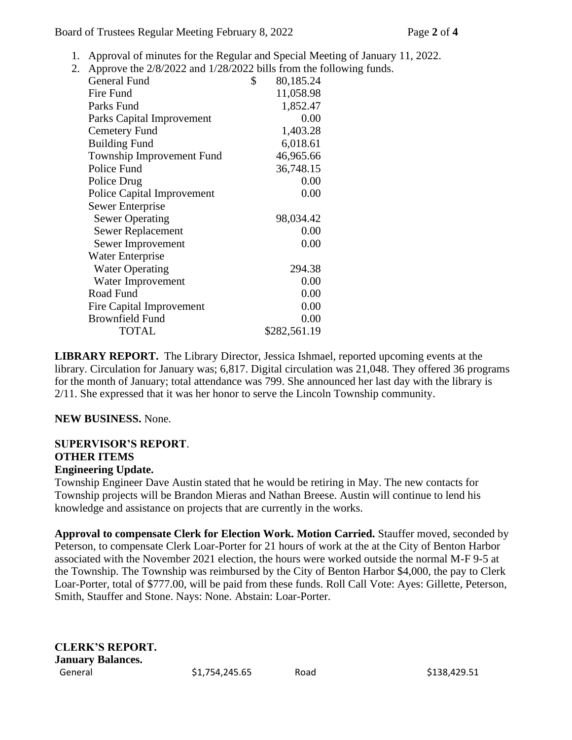Board of Trustees Regular Meeting February 8, 2022 Page **2** of **4**

- 1. Approval of minutes for the Regular and Special Meeting of January 11, 2022.
- 2. Approve the 2/8/2022 and 1/28/2022 bills from the following funds.

|                                   | <b>General Fund</b>    | \$ | 80,185.24    |
|-----------------------------------|------------------------|----|--------------|
|                                   | Fire Fund              |    | 11,058.98    |
|                                   | Parks Fund             |    | 1,852.47     |
| Parks Capital Improvement         |                        |    | 0.00         |
| Cemetery Fund                     |                        |    | 1,403.28     |
| <b>Building Fund</b>              |                        |    | 6,018.61     |
| Township Improvement Fund         |                        |    | 46,965.66    |
| Police Fund                       |                        |    | 36,748.15    |
| Police Drug                       |                        |    | 0.00         |
| <b>Police Capital Improvement</b> |                        |    | 0.00         |
| <b>Sewer Enterprise</b>           |                        |    |              |
|                                   | <b>Sewer Operating</b> |    | 98,034.42    |
|                                   | Sewer Replacement      |    | 0.00         |
|                                   | Sewer Improvement      |    | 0.00         |
| Water Enterprise                  |                        |    |              |
|                                   | <b>Water Operating</b> |    | 294.38       |
|                                   | Water Improvement      |    | 0.00         |
|                                   | Road Fund              |    | 0.00         |
| <b>Fire Capital Improvement</b>   |                        |    | 0.00         |
| <b>Brownfield Fund</b>            |                        |    | 0.00         |
|                                   | <b>TOTAL</b>           |    | \$282,561.19 |
|                                   |                        |    |              |

**LIBRARY REPORT.** The Library Director, Jessica Ishmael, reported upcoming events at the library. Circulation for January was; 6,817. Digital circulation was 21,048. They offered 36 programs for the month of January; total attendance was 799. She announced her last day with the library is 2/11. She expressed that it was her honor to serve the Lincoln Township community.

# **NEW BUSINESS.** None.

#### **SUPERVISOR'S REPORT**. **OTHER ITEMS Engineering Update.**

Township Engineer Dave Austin stated that he would be retiring in May. The new contacts for Township projects will be Brandon Mieras and Nathan Breese. Austin will continue to lend his knowledge and assistance on projects that are currently in the works.

**Approval to compensate Clerk for Election Work. Motion Carried.** Stauffer moved, seconded by Peterson, to compensate Clerk Loar-Porter for 21 hours of work at the at the City of Benton Harbor associated with the November 2021 election, the hours were worked outside the normal M-F 9-5 at the Township. The Township was reimbursed by the City of Benton Harbor \$4,000, the pay to Clerk Loar-Porter, total of \$777.00, will be paid from these funds. Roll Call Vote: Ayes: Gillette, Peterson, Smith, Stauffer and Stone. Nays: None. Abstain: Loar-Porter.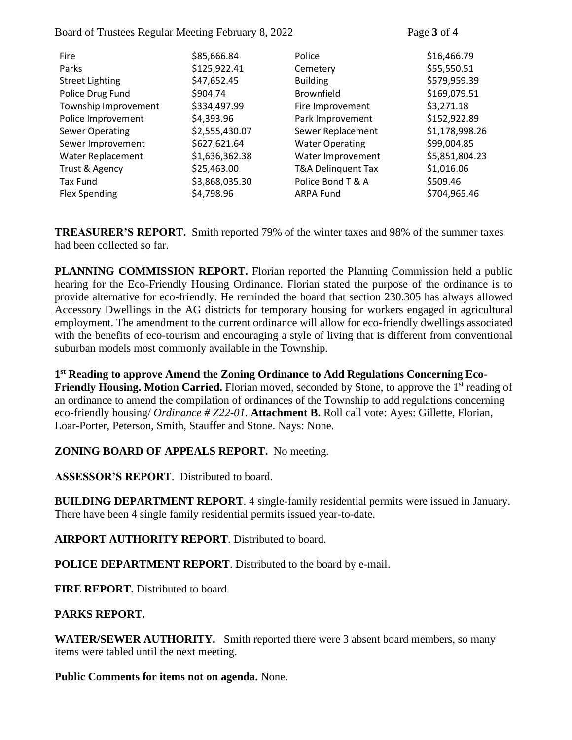Board of Trustees Regular Meeting February 8, 2022 Page **3** of **4**

| \$85,666.84    | Police                 | \$16,466.79    |
|----------------|------------------------|----------------|
| \$125,922.41   | Cemetery               | \$55,550.51    |
| \$47,652.45    | <b>Building</b>        | \$579,959.39   |
| \$904.74       | <b>Brownfield</b>      | \$169,079.51   |
| \$334,497.99   | Fire Improvement       | \$3,271.18     |
| \$4,393.96     | Park Improvement       | \$152,922.89   |
| \$2,555,430.07 | Sewer Replacement      | \$1,178,998.26 |
| \$627,621.64   | <b>Water Operating</b> | \$99,004.85    |
| \$1,636,362.38 | Water Improvement      | \$5,851,804.23 |
| \$25,463.00    | T&A Delinquent Tax     | \$1,016.06     |
| \$3,868,035.30 | Police Bond T & A      | \$509.46       |
| \$4,798.96     | ARPA Fund              | \$704,965.46   |
|                |                        |                |

**TREASURER'S REPORT.** Smith reported 79% of the winter taxes and 98% of the summer taxes had been collected so far.

**PLANNING COMMISSION REPORT.** Florian reported the Planning Commission held a public hearing for the Eco-Friendly Housing Ordinance. Florian stated the purpose of the ordinance is to provide alternative for eco-friendly. He reminded the board that section 230.305 has always allowed Accessory Dwellings in the AG districts for temporary housing for workers engaged in agricultural employment. The amendment to the current ordinance will allow for eco-friendly dwellings associated with the benefits of eco-tourism and encouraging a style of living that is different from conventional suburban models most commonly available in the Township.

**1 st Reading to approve Amend the Zoning Ordinance to Add Regulations Concerning Eco-Friendly Housing. Motion Carried.** Florian moved, seconded by Stone, to approve the 1<sup>st</sup> reading of an ordinance to amend the compilation of ordinances of the Township to add regulations concerning eco-friendly housing/ *Ordinance # Z22-01.* **Attachment B.** Roll call vote: Ayes: Gillette, Florian, Loar-Porter, Peterson, Smith, Stauffer and Stone. Nays: None.

# **ZONING BOARD OF APPEALS REPORT.** No meeting.

**ASSESSOR'S REPORT**. Distributed to board.

**BUILDING DEPARTMENT REPORT**. 4 single-family residential permits were issued in January. There have been 4 single family residential permits issued year-to-date.

**AIRPORT AUTHORITY REPORT**. Distributed to board.

**POLICE DEPARTMENT REPORT**. Distributed to the board by e-mail.

**FIRE REPORT.** Distributed to board.

# **PARKS REPORT.**

**WATER/SEWER AUTHORITY.** Smith reported there were 3 absent board members, so many items were tabled until the next meeting.

**Public Comments for items not on agenda.** None.